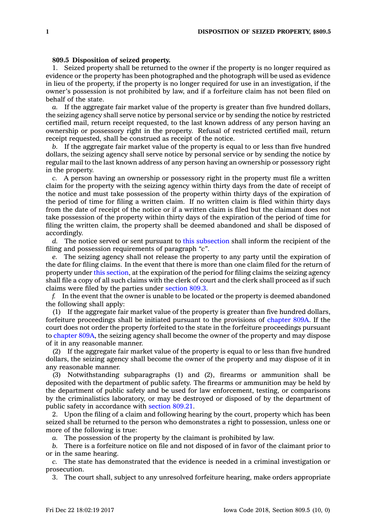## **809.5 Disposition of seized property.**

1. Seized property shall be returned to the owner if the property is no longer required as evidence or the property has been photographed and the photograph will be used as evidence in lieu of the property, if the property is no longer required for use in an investigation, if the owner's possession is not prohibited by law, and if <sup>a</sup> forfeiture claim has not been filed on behalf of the state.

*a.* If the aggregate fair market value of the property is greater than five hundred dollars, the seizing agency shall serve notice by personal service or by sending the notice by restricted certified mail, return receipt requested, to the last known address of any person having an ownership or possessory right in the property. Refusal of restricted certified mail, return receipt requested, shall be construed as receipt of the notice.

*b.* If the aggregate fair market value of the property is equal to or less than five hundred dollars, the seizing agency shall serve notice by personal service or by sending the notice by regular mail to the last known address of any person having an ownership or possessory right in the property.

*c.* A person having an ownership or possessory right in the property must file <sup>a</sup> written claim for the property with the seizing agency within thirty days from the date of receipt of the notice and must take possession of the property within thirty days of the expiration of the period of time for filing <sup>a</sup> written claim. If no written claim is filed within thirty days from the date of receipt of the notice or if <sup>a</sup> written claim is filed but the claimant does not take possession of the property within thirty days of the expiration of the period of time for filing the written claim, the property shall be deemed abandoned and shall be disposed of accordingly.

*d.* The notice served or sent pursuant to this [subsection](https://www.legis.iowa.gov/docs/code/809.5.pdf) shall inform the recipient of the filing and possession requirements of paragraph *"c"*.

*e.* The seizing agency shall not release the property to any party until the expiration of the date for filing claims. In the event that there is more than one claim filed for the return of property under this [section](https://www.legis.iowa.gov/docs/code/809.5.pdf), at the expiration of the period for filing claims the seizing agency shall file <sup>a</sup> copy of all such claims with the clerk of court and the clerk shall proceed as if such claims were filed by the parties under [section](https://www.legis.iowa.gov/docs/code/809.3.pdf) 809.3.

*f.* In the event that the owner is unable to be located or the property is deemed abandoned the following shall apply:

(1) If the aggregate fair market value of the property is greater than five hundred dollars, forfeiture proceedings shall be initiated pursuant to the provisions of [chapter](https://www.legis.iowa.gov/docs/code//809A.pdf) 809A. If the court does not order the property forfeited to the state in the forfeiture proceedings pursuant to [chapter](https://www.legis.iowa.gov/docs/code//809A.pdf) 809A, the seizing agency shall become the owner of the property and may dispose of it in any reasonable manner.

(2) If the aggregate fair market value of the property is equal to or less than five hundred dollars, the seizing agency shall become the owner of the property and may dispose of it in any reasonable manner.

(3) Notwithstanding subparagraphs (1) and (2), firearms or ammunition shall be deposited with the department of public safety. The firearms or ammunition may be held by the department of public safety and be used for law enforcement, testing, or comparisons by the criminalistics laboratory, or may be destroyed or disposed of by the department of public safety in accordance with [section](https://www.legis.iowa.gov/docs/code/809.21.pdf) 809.21.

2. Upon the filing of <sup>a</sup> claim and following hearing by the court, property which has been seized shall be returned to the person who demonstrates <sup>a</sup> right to possession, unless one or more of the following is true:

*a.* The possession of the property by the claimant is prohibited by law.

*b.* There is <sup>a</sup> forfeiture notice on file and not disposed of in favor of the claimant prior to or in the same hearing.

*c.* The state has demonstrated that the evidence is needed in <sup>a</sup> criminal investigation or prosecution.

3. The court shall, subject to any unresolved forfeiture hearing, make orders appropriate